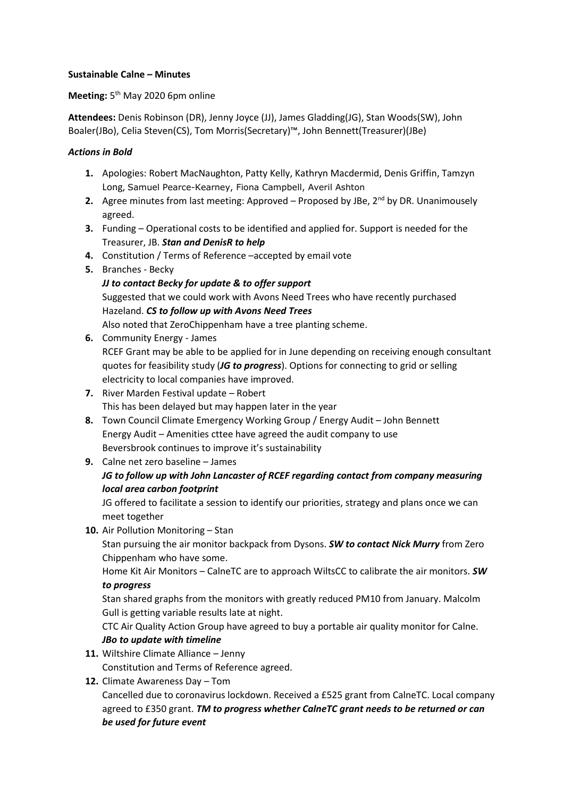### **Sustainable Calne – Minutes**

### Meeting: 5<sup>th</sup> May 2020 6pm online

**Attendees:** Denis Robinson (DR), Jenny Joyce (JJ), James Gladding(JG), Stan Woods(SW), John Boaler(JBo), Celia Steven(CS), Tom Morris(Secretary)™, John Bennett(Treasurer)(JBe)

### *Actions in Bold*

- **1.** Apologies: Robert MacNaughton, Patty Kelly, Kathryn Macdermid, Denis Griffin, Tamzyn Long, Samuel Pearce-Kearney, Fiona Campbell, Averil Ashton
- **2.** Agree minutes from last meeting: Approved Proposed by JBe, 2<sup>nd</sup> by DR. Unanimousely agreed.
- **3.** Funding Operational costs to be identified and applied for. Support is needed for the Treasurer, JB. *Stan and DenisR to help*
- **4.** Constitution / Terms of Reference –accepted by email vote
- **5.** Branches Becky
	- *JJ to contact Becky for update & to offer support* Suggested that we could work with Avons Need Trees who have recently purchased Hazeland. *CS to follow up with Avons Need Trees* Also noted that ZeroChippenham have a tree planting scheme.
- **6.** Community Energy James RCEF Grant may be able to be applied for in June depending on receiving enough consultant quotes for feasibility study (*JG to progress*). Options for connecting to grid or selling electricity to local companies have improved.
- **7.** River Marden Festival update Robert This has been delayed but may happen later in the year
- **8.** Town Council Climate Emergency Working Group / Energy Audit John Bennett Energy Audit – Amenities cttee have agreed the audit company to use Beversbrook continues to improve it's sustainability
- **9.** Calne net zero baseline James

# *JG to follow up with John Lancaster of RCEF regarding contact from company measuring local area carbon footprint*

JG offered to facilitate a session to identify our priorities, strategy and plans once we can meet together

**10.** Air Pollution Monitoring – Stan

Stan pursuing the air monitor backpack from Dysons. *SW to contact Nick Murry* from Zero Chippenham who have some.

Home Kit Air Monitors – CalneTC are to approach WiltsCC to calibrate the air monitors. *SW to progress*

Stan shared graphs from the monitors with greatly reduced PM10 from January. Malcolm Gull is getting variable results late at night.

CTC Air Quality Action Group have agreed to buy a portable air quality monitor for Calne. *JBo to update with timeline*

- **11.** Wiltshire Climate Alliance Jenny Constitution and Terms of Reference agreed.
- **12.** Climate Awareness Day Tom

Cancelled due to coronavirus lockdown. Received a £525 grant from CalneTC. Local company agreed to £350 grant. *TM to progress whether CalneTC grant needs to be returned or can be used for future event*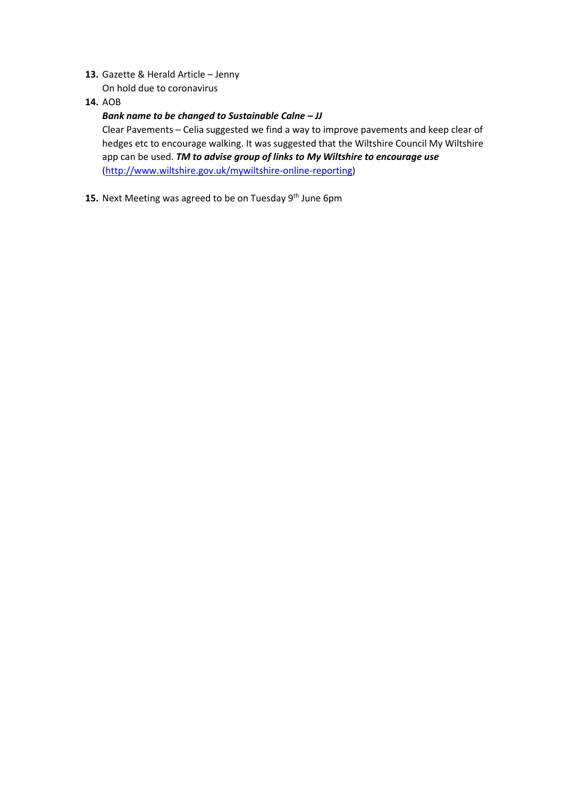- **13.** Gazette & Herald Article Jenny On hold due to coronavirus
- **14.** AOB

### *Bank name to be changed to Sustainable Calne – JJ*

Clear Pavements – Celia suggested we find a way to improve pavements and keep clear of hedges etc to encourage walking. It was suggested that the Wiltshire Council My Wiltshire app can be used. *TM to advise group of links to My Wiltshire to encourage use* [\(http://www.wiltshire.gov.uk/mywiltshire-online-reporting\)](http://www.wiltshire.gov.uk/mywiltshire-online-reporting)

15. Next Meeting was agreed to be on Tuesday 9<sup>th</sup> June 6pm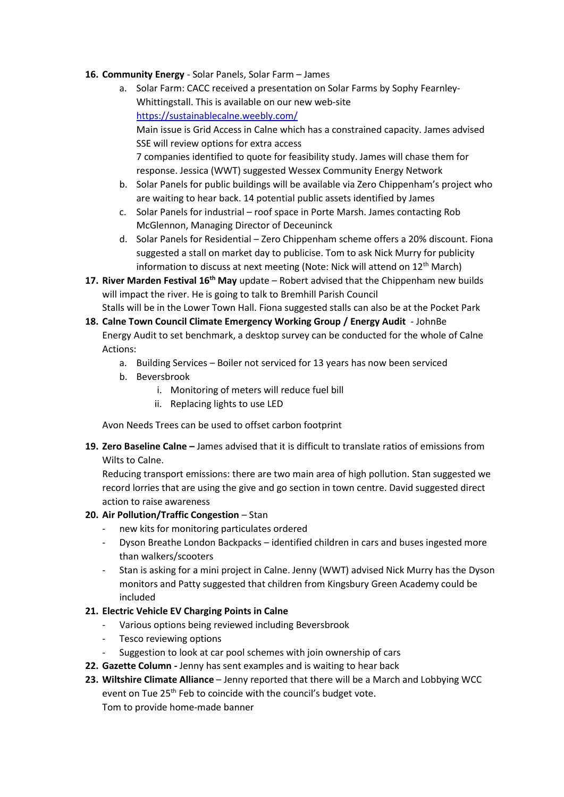- **16. Community Energy** Solar Panels, Solar Farm James
	- a. Solar Farm: CACC received a presentation on Solar Farms by Sophy Fearnley-Whittingstall. This is available on our new web-site <https://sustainablecalne.weebly.com/> Main issue is Grid Access in Calne which has a constrained capacity. James advised SSE will review options for extra access 7 companies identified to quote for feasibility study. James will chase them for response. Jessica (WWT) suggested Wessex Community Energy Network
	- b. Solar Panels for public buildings will be available via Zero Chippenham's project who are waiting to hear back. 14 potential public assets identified by James
	- c. Solar Panels for industrial roof space in Porte Marsh. James contacting Rob McGlennon, Managing Director of Deceuninck
	- d. Solar Panels for Residential Zero Chippenham scheme offers a 20% discount. Fiona suggested a stall on market day to publicise. Tom to ask Nick Murry for publicity information to discuss at next meeting (Note: Nick will attend on 12<sup>th</sup> March)
- **17. River Marden Festival 16th May** update Robert advised that the Chippenham new builds will impact the river. He is going to talk to Bremhill Parish Council Stalls will be in the Lower Town Hall. Fiona suggested stalls can also be at the Pocket Park
- **18. Calne Town Council Climate Emergency Working Group / Energy Audit** JohnBe Energy Audit to set benchmark, a desktop survey can be conducted for the whole of Calne Actions:
	- a. Building Services Boiler not serviced for 13 years has now been serviced
	- b. Beversbrook
		- i. Monitoring of meters will reduce fuel bill
		- ii. Replacing lights to use LED

Avon Needs Trees can be used to offset carbon footprint

**19. Zero Baseline Calne –** James advised that it is difficult to translate ratios of emissions from Wilts to Calne.

Reducing transport emissions: there are two main area of high pollution. Stan suggested we record lorries that are using the give and go section in town centre. David suggested direct action to raise awareness

## **20. Air Pollution/Traffic Congestion** – Stan

- new kits for monitoring particulates ordered
- Dyson Breathe London Backpacks identified children in cars and buses ingested more than walkers/scooters
- Stan is asking for a mini project in Calne. Jenny (WWT) advised Nick Murry has the Dyson monitors and Patty suggested that children from Kingsbury Green Academy could be included

## **21. Electric Vehicle EV Charging Points in Calne**

- Various options being reviewed including Beversbrook
- Tesco reviewing options
- Suggestion to look at car pool schemes with join ownership of cars
- **22. Gazette Column -** Jenny has sent examples and is waiting to hear back
- **23. Wiltshire Climate Alliance** Jenny reported that there will be a March and Lobbying WCC event on Tue 25<sup>th</sup> Feb to coincide with the council's budget vote. Tom to provide home-made banner